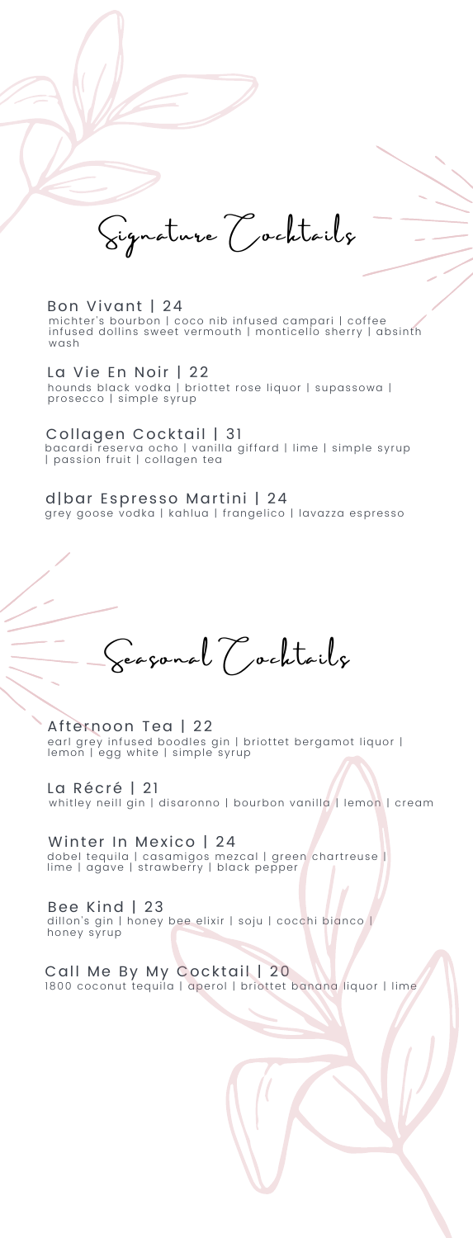Si gna tur e Co ckt a i l s

## Bon Vivant | 24

michter's bourbon | coco nib infused campari | coffee<br>infused dollins sweet vermouth | monticello sherry | absinth wash

### La Vie En Noir | 22

hounds black vodka | briottet rose liquor | supassowa |<br>prosecco | simple syrup

### Collagen Cocktail | 31

bacardi reserva ocho | vanilla giffard | lime | simple syrup<br>| passion fruit | collagen tea

#### d|bar Espresso Martini | 24 grey goose vodka | kahlua | frangelico | lavazza espresso

Seagonal (Cochtailx

Afternoon Tea | 22 earl grey infused boodles gin | briottet bergamot liquor |<br>lemon | egg white | simple syrup

La Récré | 21 whitley neill gin | disaronno | bourbon vanilla | lemon | cream

Winter In Mexico | 24<br>dobel tequila | casamigos mezcal | green chartreuse |<br>lime | agave | strawberry | black pepper

Bee Kind | 23 dillon's gin | honey bee elixir | soju | cocchi bianco |<br>honey syrup

Call Me By My Cocktail | 20 1800 coconut tequila | aperol | briottet banana liquor | lime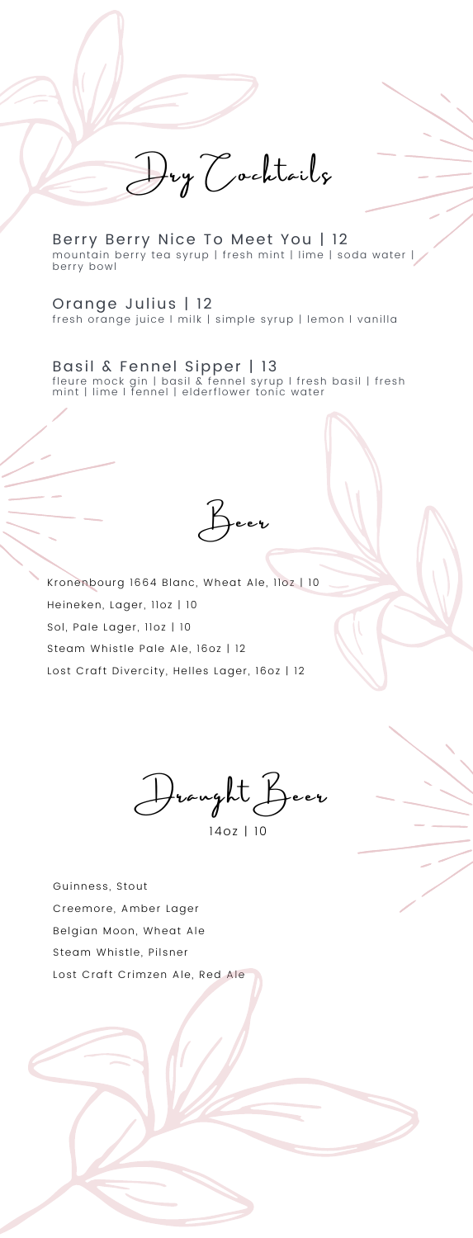Dry Cocktails

Berry Berry Nice To Meet You | 12 mountain berry tea syrup | fresh mint | l ime | soda water | berry bowl

Orange Julius | 12 fresh orange juice I milk | simple syrup | lemon I vanilla

Basil & Fennel Sipper | 13 fleure mock gin | basil & fennel syrup l fresh basil | fresh<br>mint | lime l fennel | elderflower tonic water

Be e r

Kronenbourg 1664 Blanc, Wheat Ale, 11oz | 10 Heineken, Lager, 11oz | 10 Sol, Pale Lager, 11oz | 10 Steam Whistle Pale Ale, 16oz | 12 Lost Craft Divercity, Helles Lager, 16oz | 12

Dr aught Be e r 14oz | 10

Guinness, Stout Creemore, Amber Lager Belgian Moon, Wheat Ale Steam Whistle, Pilsner Lost Craft Crimzen Ale, Red Ale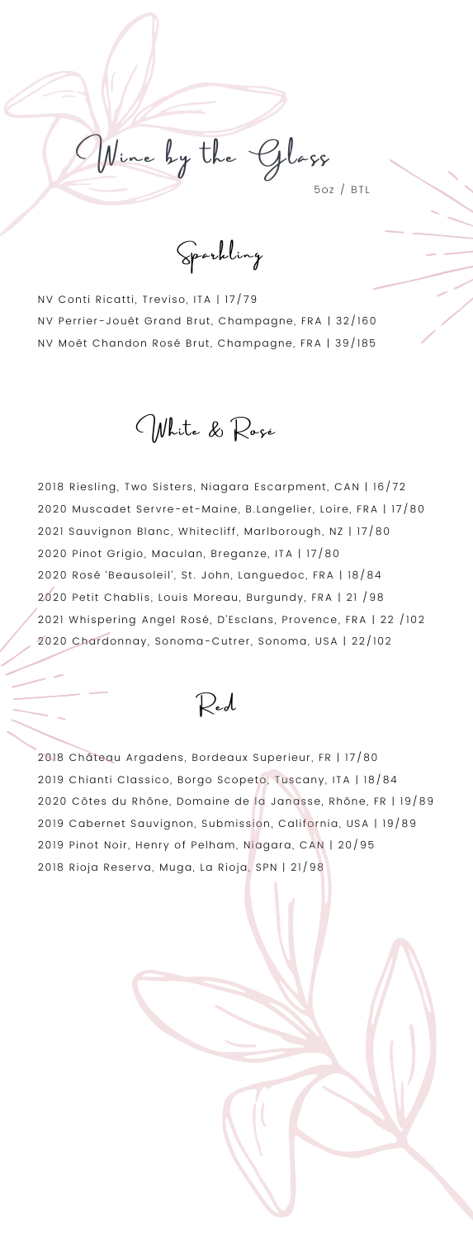Spa rkl ing

Wine by the Glass

5oz / BTL

NV Conti Ricatti, Treviso, ITA | 17/79 NV Perrier-Jouët Grand Brut, Champagne, FRA | 32/160 NV Moët Chandon Rosé Brut, Champagne, FRA | 39/185

White & Roge

2018 Riesling, Two Sisters, Niagara Escarpment, CAN | 16/72 2020 Muscadet Servre-et-Maine, B.Langelier, Loire, FRA | 17/80 2021 Sauvignon Blanc, Whitecliff, Marlborough, NZ | 17/80 2020 Pinot Grigio, Maculan, Breganze, ITA | 17/80 2020 Rosé 'Beausoleil', St. John, Languedoc, FRA | 18/84 2020 Petit Chablis, Louis Moreau, Burgundy, FRA | 21 / 98 2021 Whispering Angel Rosé, D'Esclans, Provence, FRA | 22 /102 2020 Chardonnay, Sonoma-Cutrer, Sonoma, USA | 22/102

Red

2018 Château Argadens, Bordeaux Superieur, FR | 17/80 2019 Chianti Classico, Borgo Scopeto, Tuscany, ITA | 18/84 2020 Côtes du Rhône, Domaine de la Janasse, Rhône, FR | 19/89 2019 Cabernet Sauvignon, Submission, California, USA | 19/89 2019 Pinot Noir, Henry of Pelham, Niagara, CAN | 20/95 2018 Rioja Reserva, Muga, La Rioja, SPN | 21/98